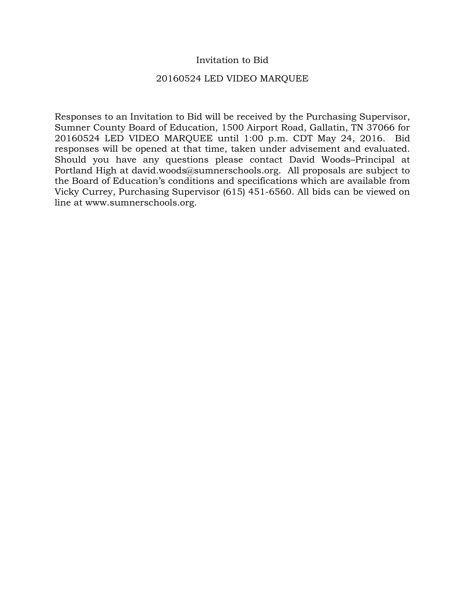# Invitation to Bid

## 20160524 LED VIDEO MARQUEE

Responses to an Invitation to Bid will be received by the Purchasing Supervisor, Sumner County Board of Education, 1500 Airport Road, Gallatin, TN 37066 for 20160524 LED VIDEO MARQUEE until 1:00 p.m. CDT May 24, 2016. Bid responses will be opened at that time, taken under advisement and evaluated. Should you have any questions please contact David Woods–Principal at Portland High at david.woods@sumnerschools.org. All proposals are subject to the Board of Education's conditions and specifications which are available from Vicky Currey, Purchasing Supervisor (615) 451-6560. All bids can be viewed on line at www.sumnerschools.org.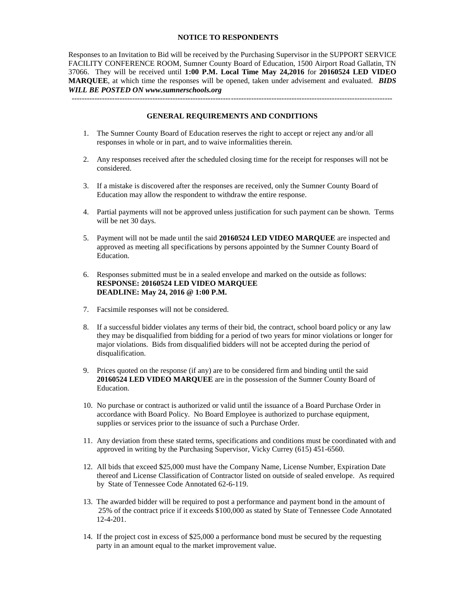#### **NOTICE TO RESPONDENTS**

Responses to an Invitation to Bid will be received by the Purchasing Supervisor in the SUPPORT SERVICE FACILITY CONFERENCE ROOM, Sumner County Board of Education, 1500 Airport Road Gallatin, TN 37066. They will be received until **1:00 P.M. Local Time May 24,2016** for **20160524 LED VIDEO MARQUEE**, at which time the responses will be opened, taken under advisement and evaluated. *BIDS WILL BE POSTED ON www.sumnerschools.org* 

**GENERAL REQUIREMENTS AND CONDITIONS** 

-------------------------------------------------------------------------------------------------------------------------------

- 1. The Sumner County Board of Education reserves the right to accept or reject any and/or all responses in whole or in part, and to waive informalities therein.
- 2. Any responses received after the scheduled closing time for the receipt for responses will not be considered.
- 3. If a mistake is discovered after the responses are received, only the Sumner County Board of Education may allow the respondent to withdraw the entire response.
- 4. Partial payments will not be approved unless justification for such payment can be shown. Terms will be net 30 days.
- 5. Payment will not be made until the said **20160524 LED VIDEO MARQUEE** are inspected and approved as meeting all specifications by persons appointed by the Sumner County Board of Education.
- 6. Responses submitted must be in a sealed envelope and marked on the outside as follows: **RESPONSE: 20160524 LED VIDEO MARQUEE DEADLINE: May 24, 2016 @ 1:00 P.M.**
- 7. Facsimile responses will not be considered.
- 8. If a successful bidder violates any terms of their bid, the contract, school board policy or any law they may be disqualified from bidding for a period of two years for minor violations or longer for major violations. Bids from disqualified bidders will not be accepted during the period of disqualification.
- 9. Prices quoted on the response (if any) are to be considered firm and binding until the said **20160524 LED VIDEO MARQUEE** are in the possession of the Sumner County Board of Education.
- 10. No purchase or contract is authorized or valid until the issuance of a Board Purchase Order in accordance with Board Policy. No Board Employee is authorized to purchase equipment, supplies or services prior to the issuance of such a Purchase Order.
- 11. Any deviation from these stated terms, specifications and conditions must be coordinated with and approved in writing by the Purchasing Supervisor, Vicky Currey (615) 451-6560.
- 12. All bids that exceed \$25,000 must have the Company Name, License Number, Expiration Date thereof and License Classification of Contractor listed on outside of sealed envelope. As required by State of Tennessee Code Annotated 62-6-119.
- 13. The awarded bidder will be required to post a performance and payment bond in the amount of 25% of the contract price if it exceeds \$100,000 as stated by State of Tennessee Code Annotated 12-4-201.
- 14. If the project cost in excess of \$25,000 a performance bond must be secured by the requesting party in an amount equal to the market improvement value.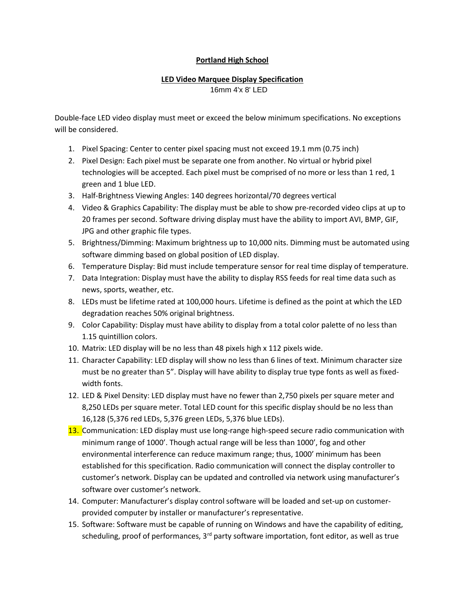## Portland High School

#### LED Video Marquee Display Specification 16mm 4'x 8' LED

Double-face LED video display must meet or exceed the below minimum specifications. No exceptions will be considered.

- 1. Pixel Spacing: Center to center pixel spacing must not exceed 19.1 mm (0.75 inch)
- 2. Pixel Design: Each pixel must be separate one from another. No virtual or hybrid pixel technologies will be accepted. Each pixel must be comprised of no more or less than 1 red, 1 green and 1 blue LED.
- 3. Half-Brightness Viewing Angles: 140 degrees horizontal/70 degrees vertical
- 4. Video & Graphics Capability: The display must be able to show pre-recorded video clips at up to 20 frames per second. Software driving display must have the ability to import AVI, BMP, GIF, JPG and other graphic file types.
- 5. Brightness/Dimming: Maximum brightness up to 10,000 nits. Dimming must be automated using software dimming based on global position of LED display.
- 6. Temperature Display: Bid must include temperature sensor for real time display of temperature.
- 7. Data Integration: Display must have the ability to display RSS feeds for real time data such as news, sports, weather, etc.
- 8. LEDs must be lifetime rated at 100,000 hours. Lifetime is defined as the point at which the LED degradation reaches 50% original brightness.
- 9. Color Capability: Display must have ability to display from a total color palette of no less than 1.15 quintillion colors.
- 10. Matrix: LED display will be no less than 48 pixels high x 112 pixels wide.
- 11. Character Capability: LED display will show no less than 6 lines of text. Minimum character size must be no greater than 5". Display will have ability to display true type fonts as well as fixedwidth fonts.
- 12. LED & Pixel Density: LED display must have no fewer than 2,750 pixels per square meter and 8,250 LEDs per square meter. Total LED count for this specific display should be no less than 16,128 (5,376 red LEDs, 5,376 green LEDs, 5,376 blue LEDs).
- 13. Communication: LED display must use long-range high-speed secure radio communication with minimum range of 1000'. Though actual range will be less than 1000', fog and other environmental interference can reduce maximum range; thus, 1000' minimum has been established for this specification. Radio communication will connect the display controller to customer's network. Display can be updated and controlled via network using manufacturer's software over customer's network.
- 14. Computer: Manufacturer's display control software will be loaded and set-up on customerprovided computer by installer or manufacturer's representative.
- 15. Software: Software must be capable of running on Windows and have the capability of editing, scheduling, proof of performances, 3<sup>rd</sup> party software importation, font editor, as well as true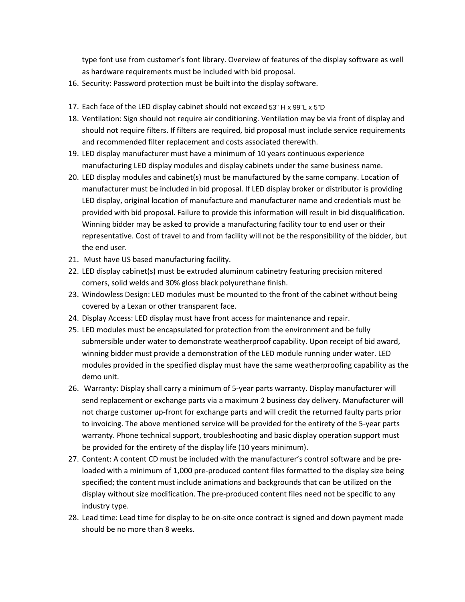type font use from customer's font library. Overview of features of the display software as well as hardware requirements must be included with bid proposal.

- 16. Security: Password protection must be built into the display software.
- 17. Each face of the LED display cabinet should not exceed 53" H x 99"L x 5"D
- 18. Ventilation: Sign should not require air conditioning. Ventilation may be via front of display and should not require filters. If filters are required, bid proposal must include service requirements and recommended filter replacement and costs associated therewith.
- 19. LED display manufacturer must have a minimum of 10 years continuous experience manufacturing LED display modules and display cabinets under the same business name.
- 20. LED display modules and cabinet(s) must be manufactured by the same company. Location of manufacturer must be included in bid proposal. If LED display broker or distributor is providing LED display, original location of manufacture and manufacturer name and credentials must be provided with bid proposal. Failure to provide this information will result in bid disqualification. Winning bidder may be asked to provide a manufacturing facility tour to end user or their representative. Cost of travel to and from facility will not be the responsibility of the bidder, but the end user.
- 21. Must have US based manufacturing facility.
- 22. LED display cabinet(s) must be extruded aluminum cabinetry featuring precision mitered corners, solid welds and 30% gloss black polyurethane finish.
- 23. Windowless Design: LED modules must be mounted to the front of the cabinet without being covered by a Lexan or other transparent face.
- 24. Display Access: LED display must have front access for maintenance and repair.
- 25. LED modules must be encapsulated for protection from the environment and be fully submersible under water to demonstrate weatherproof capability. Upon receipt of bid award, winning bidder must provide a demonstration of the LED module running under water. LED modules provided in the specified display must have the same weatherproofing capability as the demo unit.
- 26. Warranty: Display shall carry a minimum of 5-year parts warranty. Display manufacturer will send replacement or exchange parts via a maximum 2 business day delivery. Manufacturer will not charge customer up-front for exchange parts and will credit the returned faulty parts prior to invoicing. The above mentioned service will be provided for the entirety of the 5-year parts warranty. Phone technical support, troubleshooting and basic display operation support must be provided for the entirety of the display life (10 years minimum).
- 27. Content: A content CD must be included with the manufacturer's control software and be preloaded with a minimum of 1,000 pre-produced content files formatted to the display size being specified; the content must include animations and backgrounds that can be utilized on the display without size modification. The pre-produced content files need not be specific to any industry type.
- 28. Lead time: Lead time for display to be on-site once contract is signed and down payment made should be no more than 8 weeks.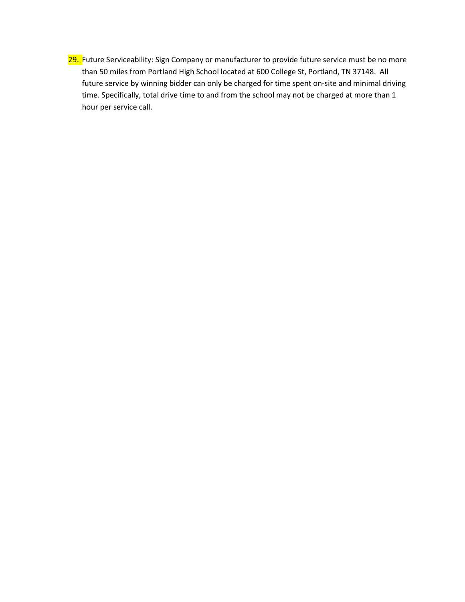29. Future Serviceability: Sign Company or manufacturer to provide future service must be no more than 50 miles from Portland High School located at 600 College St, Portland, TN 37148. All future service by winning bidder can only be charged for time spent on-site and minimal driving time. Specifically, total drive time to and from the school may not be charged at more than 1 hour per service call.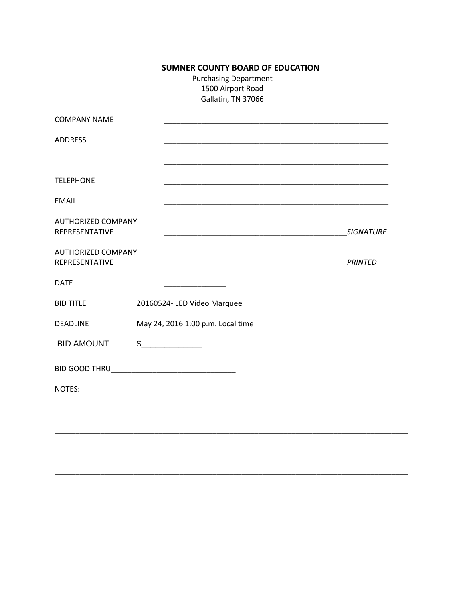# **SUMNER COUNTY BOARD OF EDUCATION**

**Purchasing Department** 1500 Airport Road Gallatin, TN 37066

| <b>COMPANY NAME</b>                                                                                 |                                   |                  |
|-----------------------------------------------------------------------------------------------------|-----------------------------------|------------------|
| <b>ADDRESS</b>                                                                                      |                                   |                  |
| <b>TELEPHONE</b>                                                                                    |                                   |                  |
| <b>EMAIL</b>                                                                                        |                                   |                  |
| <b>AUTHORIZED COMPANY</b><br>REPRESENTATIVE<br><u> 1990 - Johann John Stone, mars et al. (1991)</u> |                                   | <b>SIGNATURE</b> |
| <b>AUTHORIZED COMPANY</b><br>REPRESENTATIVE                                                         |                                   | <b>PRINTED</b>   |
| <b>DATE</b>                                                                                         |                                   |                  |
| <b>BID TITLE</b>                                                                                    | 20160524- LED Video Marquee       |                  |
| <b>DEADLINE</b>                                                                                     | May 24, 2016 1:00 p.m. Local time |                  |
| <b>BID AMOUNT</b>                                                                                   | $\frac{1}{2}$                     |                  |
|                                                                                                     |                                   |                  |
|                                                                                                     |                                   |                  |
|                                                                                                     |                                   |                  |
|                                                                                                     |                                   |                  |
|                                                                                                     |                                   |                  |
|                                                                                                     |                                   |                  |

 $\overline{\phantom{0}}$ 

 $\overline{\phantom{0}}$